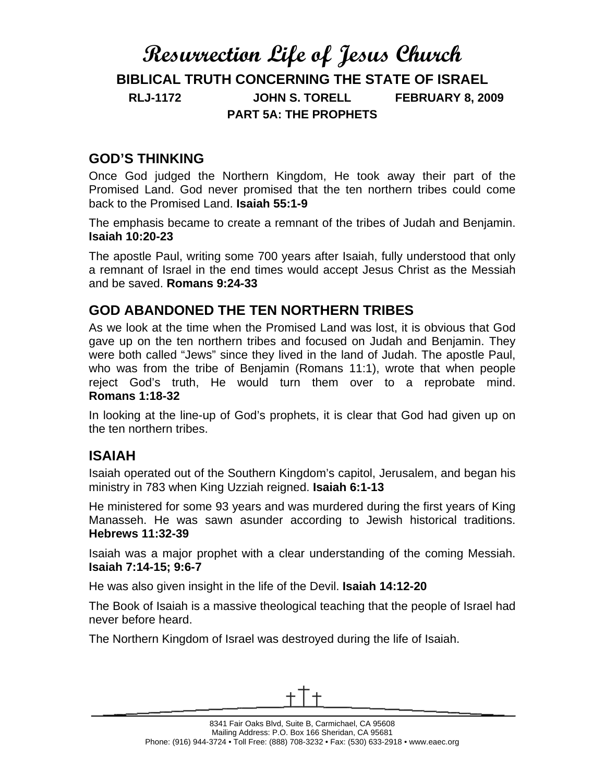# **Resurrection Life of Jesus Church BIBLICAL TRUTH CONCERNING THE STATE OF ISRAEL RLJ-1172 JOHN S. TORELL FEBRUARY 8, 2009 PART 5A: THE PROPHETS**

## **GOD'S THINKING**

Once God judged the Northern Kingdom, He took away their part of the Promised Land. God never promised that the ten northern tribes could come back to the Promised Land. **Isaiah 55:1-9**

The emphasis became to create a remnant of the tribes of Judah and Benjamin. **Isaiah 10:20-23**

The apostle Paul, writing some 700 years after Isaiah, fully understood that only a remnant of Israel in the end times would accept Jesus Christ as the Messiah and be saved. **Romans 9:24-33**

## **GOD ABANDONED THE TEN NORTHERN TRIBES**

As we look at the time when the Promised Land was lost, it is obvious that God gave up on the ten northern tribes and focused on Judah and Benjamin. They were both called "Jews" since they lived in the land of Judah. The apostle Paul, who was from the tribe of Benjamin (Romans 11:1), wrote that when people reject God's truth, He would turn them over to a reprobate mind. **Romans 1:18-32**

In looking at the line-up of God's prophets, it is clear that God had given up on the ten northern tribes.

### **ISAIAH**

Isaiah operated out of the Southern Kingdom's capitol, Jerusalem, and began his ministry in 783 when King Uzziah reigned. **Isaiah 6:1-13**

He ministered for some 93 years and was murdered during the first years of King Manasseh. He was sawn asunder according to Jewish historical traditions. **Hebrews 11:32-39**

Isaiah was a major prophet with a clear understanding of the coming Messiah. **Isaiah 7:14-15; 9:6-7**

He was also given insight in the life of the Devil. **Isaiah 14:12-20**

The Book of Isaiah is a massive theological teaching that the people of Israel had never before heard.

The Northern Kingdom of Israel was destroyed during the life of Isaiah.